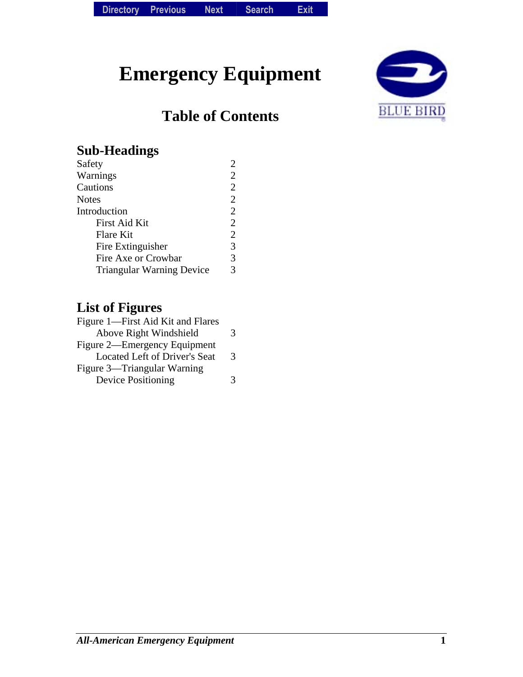# **Emergency Equipment**

# **Table of Contents**



#### **Sub-Headings**

| Safety                           |                |
|----------------------------------|----------------|
| Warnings                         | 2              |
| Cautions                         | $\overline{2}$ |
| Notes                            | $\overline{2}$ |
| Introduction                     | $\overline{2}$ |
| <b>First Aid Kit</b>             | $\overline{2}$ |
| Flare Kit                        | $\overline{2}$ |
| Fire Extinguisher                | 3              |
| Fire Axe or Crowbar              | 3              |
| <b>Triangular Warning Device</b> | 3              |
|                                  |                |

#### **List of Figures**

| Figure 1—First Aid Kit and Flares |   |
|-----------------------------------|---|
| Above Right Windshield            | 3 |
| Figure 2—Emergency Equipment      |   |
| Located Left of Driver's Seat     | 3 |
| Figure 3—Triangular Warning       |   |
| <b>Device Positioning</b>         | 3 |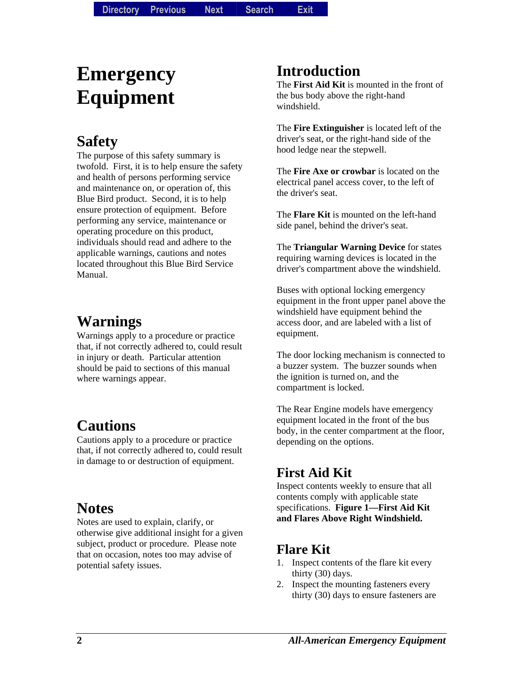# **Emergency Equipment**

# **Safety**

The purpose of this safety summary is twofold. First, it is to help ensure the safety and health of persons performing service and maintenance on, or operation of, this Blue Bird product. Second, it is to help ensure protection of equipment. Before performing any service, maintenance or operating procedure on this product, individuals should read and adhere to the applicable warnings, cautions and notes located throughout this Blue Bird Service Manual.

## **Warnings**

Warnings apply to a procedure or practice that, if not correctly adhered to, could result in injury or death. Particular attention should be paid to sections of this manual where warnings appear.

## **Cautions**

Cautions apply to a procedure or practice that, if not correctly adhered to, could result in damage to or destruction of equipment.

## **Notes**

Notes are used to explain, clarify, or otherwise give additional insight for a given subject, product or procedure. Please note that on occasion, notes too may advise of potential safety issues.

## **Introduction**

The **First Aid Kit** is mounted in the front of the bus body above the right-hand windshield.

The **Fire Extinguisher** is located left of the driver's seat, or the right-hand side of the hood ledge near the stepwell.

The **Fire Axe or crowbar** is located on the electrical panel access cover, to the left of the driver's seat.

The **Flare Kit** is mounted on the left-hand side panel, behind the driver's seat.

The **Triangular Warning Device** for states requiring warning devices is located in the driver's compartment above the windshield.

Buses with optional locking emergency equipment in the front upper panel above the windshield have equipment behind the access door, and are labeled with a list of equipment.

The door locking mechanism is connected to a buzzer system. The buzzer sounds when the ignition is turned on, and the compartment is locked.

The Rear Engine models have emergency equipment located in the front of the bus body, in the center compartment at the floor, depending on the options.

#### **First Aid Kit**

Inspect contents weekly to ensure that all contents comply with applicable state specifications. **Figure 1—First Aid Kit and Flares Above Right Windshield.**

#### **Flare Kit**

- 1. Inspect contents of the flare kit every thirty (30) days.
- 2. Inspect the mounting fasteners every thirty (30) days to ensure fasteners are